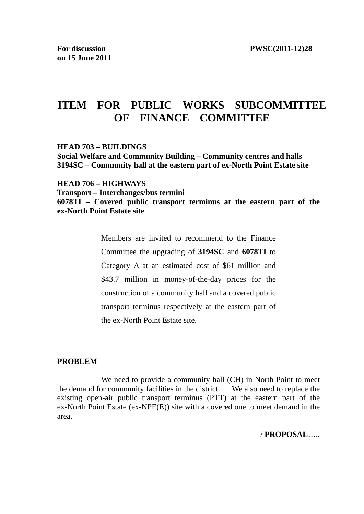# **ITEM FOR PUBLIC WORKS SUBCOMMITTEE OF FINANCE COMMITTEE**

#### **HEAD 703 – BUILDINGS**

**Social Welfare and Community Building – Community centres and halls 3194SC – Community hall at the eastern part of ex-North Point Estate site** 

**HEAD 706 – HIGHWAYS Transport – Interchanges/bus termini 6078TI – Covered public transport terminus at the eastern part of the ex-North Point Estate site** 

> Members are invited to recommend to the Finance Committee the upgrading of **3194SC** and **6078TI** to Category A at an estimated cost of \$61 million and \$43.7 million in money-of-the-day prices for the construction of a community hall and a covered public transport terminus respectively at the eastern part of the ex-North Point Estate site.

#### **PROBLEM**

 We need to provide a community hall (CH) in North Point to meet the demand for community facilities in the district. We also need to replace the existing open-air public transport terminus (PTT) at the eastern part of the ex-North Point Estate (ex-NPE(E)) site with a covered one to meet demand in the area.

/ **PROPOSAL**…..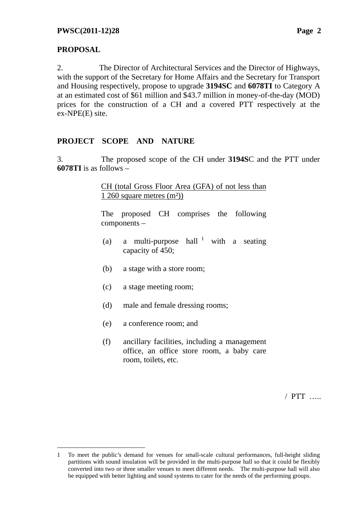# **PROPOSAL**

 $\overline{a}$ 

2. The Director of Architectural Services and the Director of Highways, with the support of the Secretary for Home Affairs and the Secretary for Transport and Housing respectively, propose to upgrade **3194SC** and **6078TI** to Category A at an estimated cost of \$61 million and \$43.7 million in money-of-the-day (MOD) prices for the construction of a CH and a covered PTT respectively at the ex-NPE(E) site.

# **PROJECT SCOPE AND NATURE**

3. The proposed scope of the CH under **3194S**C and the PTT under **6078TI** is as follows –

> CH (total Gross Floor Area (GFA) of not less than 1 260 square metres (m²))

> The proposed CH comprises the following components –

- (a) a multi-purpose hall  $1$  with a seating capacity of 450;
- (b) a stage with a store room;
- (c) a stage meeting room;
- (d) male and female dressing rooms;
- (e) a conference room; and
- (f) ancillary facilities, including a management office, an office store room, a baby care room, toilets, etc.

/ PTT …..

<sup>1</sup> To meet the public's demand for venues for small-scale cultural performances, full-height sliding partitions with sound insulation will be provided in the multi-purpose hall so that it could be flexibly converted into two or three smaller venues to meet different needs. The multi-purpose hall will also be equipped with better lighting and sound systems to cater for the needs of the performing groups.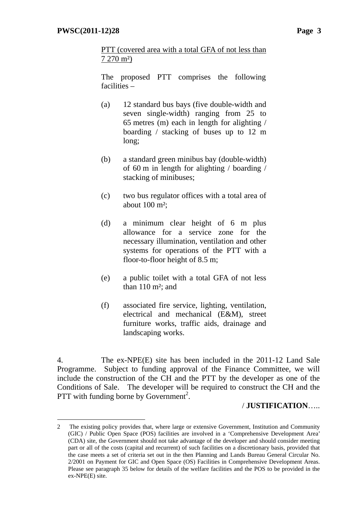$\overline{a}$ 

PTT (covered area with a total GFA of not less than 7 270 m²)

The proposed PTT comprises the following facilities –

- (a) 12 standard bus bays (five double-width and seven single-width) ranging from 25 to 65 metres (m) each in length for alighting / boarding / stacking of buses up to 12 m long;
- (b) a standard green minibus bay (double-width) of 60 m in length for alighting / boarding / stacking of minibuses;
- (c) two bus regulator offices with a total area of about 100 m²;
- (d) a minimum clear height of 6 m plus allowance for a service zone for the necessary illumination, ventilation and other systems for operations of the PTT with a floor-to-floor height of 8.5 m;
- (e) a public toilet with a total GFA of not less than  $110 \text{ m}^2$ ; and
- (f) associated fire service, lighting, ventilation, electrical and mechanical (E&M), street furniture works, traffic aids, drainage and landscaping works.

4. The ex-NPE(E) site has been included in the 2011-12 Land Sale Programme. Subject to funding approval of the Finance Committee, we will include the construction of the CH and the PTT by the developer as one of the Conditions of Sale. The developer will be required to construct the CH and the PTT with funding borne by Government<sup>2</sup>.

### / **JUSTIFICATION**…..

<sup>2</sup> The existing policy provides that, where large or extensive Government, Institution and Community (GIC) / Public Open Space (POS) facilities are involved in a 'Comprehensive Development Area' (CDA) site, the Government should not take advantage of the developer and should consider meeting part or all of the costs (capital and recurrent) of such facilities on a discretionary basis, provided that the case meets a set of criteria set out in the then Planning and Lands Bureau General Circular No. 2/2001 on Payment for GIC and Open Space (OS) Facilities in Comprehensive Development Areas. Please see paragraph 35 below for details of the welfare facilities and the POS to be provided in the ex-NPE(E) site.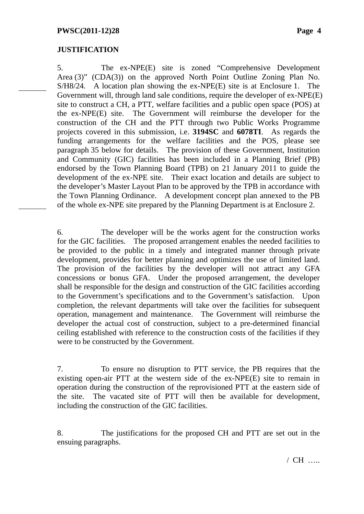#### **JUSTIFICATION**

5. The ex-NPE(E) site is zoned "Comprehensive Development Area (3)" (CDA(3)) on the approved North Point Outline Zoning Plan No. S/H8/24. A location plan showing the ex-NPE(E) site is at Enclosure 1. The Government will, through land sale conditions, require the developer of ex-NPE(E) site to construct a CH, a PTT, welfare facilities and a public open space (POS) at the ex-NPE(E) site. The Government will reimburse the developer for the construction of the CH and the PTT through two Public Works Programme projects covered in this submission, i.e. **3194SC** and **6078TI**. As regards the funding arrangements for the welfare facilities and the POS, please see paragraph 35 below for details. The provision of these Government, Institution and Community (GIC) facilities has been included in a Planning Brief (PB) endorsed by the Town Planning Board (TPB) on 21 January 2011 to guide the development of the ex-NPE site. Their exact location and details are subject to the developer's Master Layout Plan to be approved by the TPB in accordance with the Town Planning Ordinance. A development concept plan annexed to the PB of the whole ex-NPE site prepared by the Planning Department is at Enclosure 2.

6. The developer will be the works agent for the construction works for the GIC facilities. The proposed arrangement enables the needed facilities to be provided to the public in a timely and integrated manner through private development, provides for better planning and optimizes the use of limited land. The provision of the facilities by the developer will not attract any GFA concessions or bonus GFA. Under the proposed arrangement, the developer shall be responsible for the design and construction of the GIC facilities according to the Government's specifications and to the Government's satisfaction. Upon completion, the relevant departments will take over the facilities for subsequent operation, management and maintenance. The Government will reimburse the developer the actual cost of construction, subject to a pre-determined financial ceiling established with reference to the construction costs of the facilities if they were to be constructed by the Government.

7. To ensure no disruption to PTT service, the PB requires that the existing open-air PTT at the western side of the ex-NPE(E) site to remain in operation during the construction of the reprovisioned PTT at the eastern side of the site. The vacated site of PTT will then be available for development, including the construction of the GIC facilities.

8. The justifications for the proposed CH and PTT are set out in the ensuing paragraphs.

/ CH …..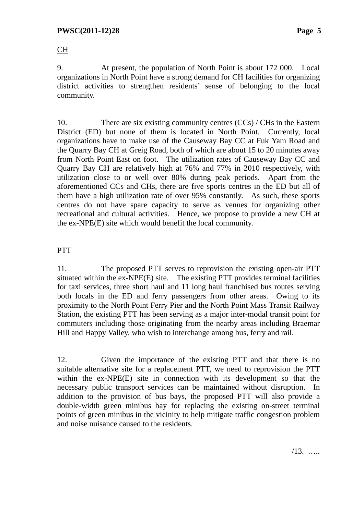CH

9. At present, the population of North Point is about 172 000. Local organizations in North Point have a strong demand for CH facilities for organizing district activities to strengthen residents' sense of belonging to the local community.

10. There are six existing community centres  $(CCs)$  / CHs in the Eastern District (ED) but none of them is located in North Point. Currently, local organizations have to make use of the Causeway Bay CC at Fuk Yam Road and the Quarry Bay CH at Greig Road, both of which are about 15 to 20 minutes away from North Point East on foot. The utilization rates of Causeway Bay CC and Quarry Bay CH are relatively high at 76% and 77% in 2010 respectively, with utilization close to or well over 80% during peak periods. Apart from the aforementioned CCs and CHs, there are five sports centres in the ED but all of them have a high utilization rate of over 95% constantly. As such, these sports centres do not have spare capacity to serve as venues for organizing other recreational and cultural activities. Hence, we propose to provide a new CH at the ex-NPE(E) site which would benefit the local community.

# PTT

11. The proposed PTT serves to reprovision the existing open-air PTT situated within the ex-NPE(E) site. The existing PTT provides terminal facilities for taxi services, three short haul and 11 long haul franchised bus routes serving both locals in the ED and ferry passengers from other areas. Owing to its proximity to the North Point Ferry Pier and the North Point Mass Transit Railway Station, the existing PTT has been serving as a major inter-modal transit point for commuters including those originating from the nearby areas including Braemar Hill and Happy Valley, who wish to interchange among bus, ferry and rail.

12. Given the importance of the existing PTT and that there is no suitable alternative site for a replacement PTT, we need to reprovision the PTT within the ex-NPE(E) site in connection with its development so that the necessary public transport services can be maintained without disruption. In addition to the provision of bus bays, the proposed PTT will also provide a double-width green minibus bay for replacing the existing on-street terminal points of green minibus in the vicinity to help mitigate traffic congestion problem and noise nuisance caused to the residents.

/13. …..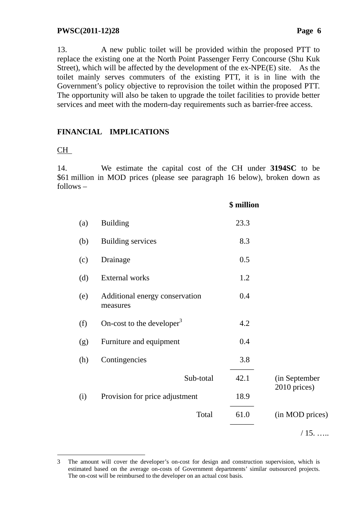13. A new public toilet will be provided within the proposed PTT to replace the existing one at the North Point Passenger Ferry Concourse (Shu Kuk Street), which will be affected by the development of the ex-NPE(E) site. As the toilet mainly serves commuters of the existing PTT, it is in line with the Government's policy objective to reprovision the toilet within the proposed PTT. The opportunity will also be taken to upgrade the toilet facilities to provide better services and meet with the modern-day requirements such as barrier-free access.

# **FINANCIAL IMPLICATIONS**

# CH

 $\overline{a}$ 

14. We estimate the capital cost of the CH under **3194SC** to be \$61 million in MOD prices (please see paragraph 16 below), broken down as follows –

|     |                                            | \$ million |                 |
|-----|--------------------------------------------|------------|-----------------|
| (a) | <b>Building</b>                            | 23.3       |                 |
| (b) | <b>Building services</b>                   | 8.3        |                 |
| (c) | Drainage                                   | 0.5        |                 |
| (d) | <b>External works</b>                      | 1.2        |                 |
| (e) | Additional energy conservation<br>measures | 0.4        |                 |
| (f) | On-cost to the developer <sup>3</sup>      | 4.2        |                 |
| (g) | Furniture and equipment                    | 0.4        |                 |
| (h) | Contingencies                              | 3.8        |                 |
|     | Sub-total                                  | 42.1       | (in September   |
| (i) | Provision for price adjustment             | 18.9       | 2010 prices)    |
|     | Total                                      | 61.0       | (in MOD prices) |
|     |                                            |            | $/15. \dots$    |

<sup>3</sup> The amount will cover the developer's on-cost for design and construction supervision, which is estimated based on the average on-costs of Government departments' similar outsourced projects. The on-cost will be reimbursed to the developer on an actual cost basis.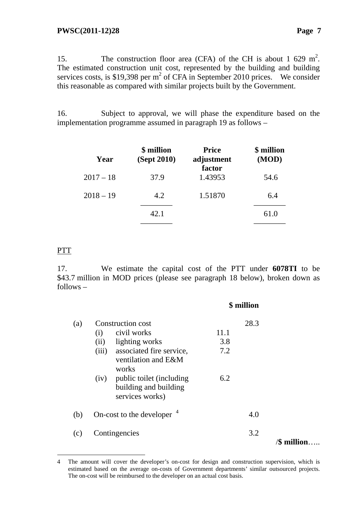15. The construction floor area (CFA) of the CH is about 1 629 m<sup>2</sup>. The estimated construction unit cost, represented by the building and building services costs, is \$19,398 per  $m^2$  of CFA in September 2010 prices. We consider this reasonable as compared with similar projects built by the Government.

16. Subject to approval, we will phase the expenditure based on the implementation programme assumed in paragraph 19 as follows –

| (Sept 2010) | <b>Price</b><br>adjustment | \$ million<br>(MOD) |
|-------------|----------------------------|---------------------|
| 37.9        | 1.43953                    | 54.6                |
| 4.2         | 1.51870                    | 6.4                 |
| 42.1        |                            | 61.0                |
|             | \$ million                 | factor              |

### PTT

 $\overline{a}$ 

17. We estimate the capital cost of the PTT under **6078TI** to be \$43.7 million in MOD prices (please see paragraph 18 below), broken down as follows –

|     |                                                                           | \$ million |                |
|-----|---------------------------------------------------------------------------|------------|----------------|
| (a) | <b>Construction cost</b>                                                  | 28.3       |                |
|     | civil works<br>(i)                                                        | 11.1       |                |
|     | lighting works<br>(ii)                                                    | 3.8        |                |
|     | associated fire service,<br>(iii)<br>ventilation and E&M<br>works         | 7.2        |                |
|     | (iv) public toilet (including<br>building and building<br>services works) | 6.2        |                |
| (b) | On-cost to the developer $4$                                              |            | 4.0            |
| (c) | Contingencies                                                             |            | 3.2<br>million |
|     |                                                                           |            |                |

<sup>4</sup> The amount will cover the developer's on-cost for design and construction supervision, which is estimated based on the average on-costs of Government departments' similar outsourced projects. The on-cost will be reimbursed to the developer on an actual cost basis.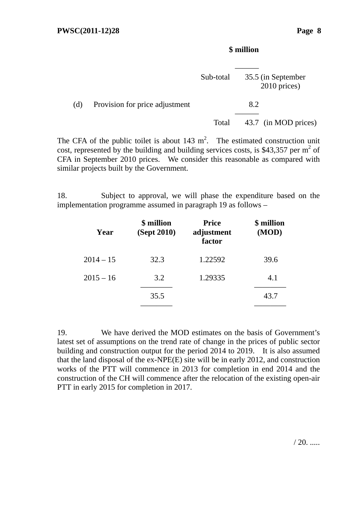### **\$ million**

|     |                                | Sub-total | 35.5 (in September<br>2010 prices) |
|-----|--------------------------------|-----------|------------------------------------|
| (d) | Provision for price adjustment |           | 8.2                                |
|     |                                | Total     | 43.7 (in MOD prices)               |

The CFA of the public toilet is about  $143 \text{ m}^2$ . The estimated construction unit cost, represented by the building and building services costs, is \$43,357 per  $m^2$  of CFA in September 2010 prices. We consider this reasonable as compared with similar projects built by the Government.

18. Subject to approval, we will phase the expenditure based on the implementation programme assumed in paragraph 19 as follows –

| Year        | \$ million<br>(Sept 2010) | <b>Price</b><br>adjustment<br>factor | \$ million<br>(MOD) |
|-------------|---------------------------|--------------------------------------|---------------------|
| $2014 - 15$ | 32.3                      | 1.22592                              | 39.6                |
| $2015 - 16$ | 3.2                       | 1.29335                              | 4.1                 |
|             | 35.5                      |                                      | 43.7                |
|             |                           |                                      |                     |

19. We have derived the MOD estimates on the basis of Government's latest set of assumptions on the trend rate of change in the prices of public sector building and construction output for the period 2014 to 2019. It is also assumed that the land disposal of the ex-NPE(E) site will be in early 2012, and construction works of the PTT will commence in 2013 for completion in end 2014 and the construction of the CH will commence after the relocation of the existing open-air PTT in early 2015 for completion in 2017.

 $/ 20.$  .....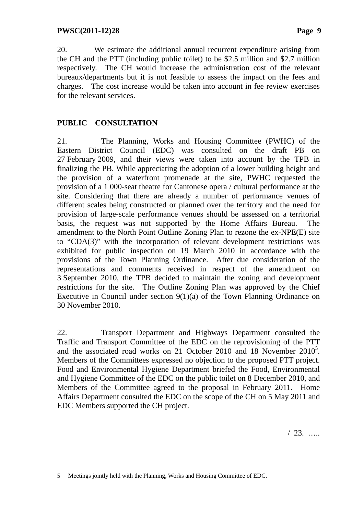20. We estimate the additional annual recurrent expenditure arising from the CH and the PTT (including public toilet) to be \$2.5 million and \$2.7 million respectively. The CH would increase the administration cost of the relevant bureaux/departments but it is not feasible to assess the impact on the fees and charges. The cost increase would be taken into account in fee review exercises for the relevant services.

# **PUBLIC CONSULTATION**

21. The Planning, Works and Housing Committee (PWHC) of the Eastern District Council (EDC) was consulted on the draft PB on 27 February 2009, and their views were taken into account by the TPB in finalizing the PB. While appreciating the adoption of a lower building height and the provision of a waterfront promenade at the site, PWHC requested the provision of a 1 000-seat theatre for Cantonese opera / cultural performance at the site. Considering that there are already a number of performance venues of different scales being constructed or planned over the territory and the need for provision of large-scale performance venues should be assessed on a territorial basis, the request was not supported by the Home Affairs Bureau. The amendment to the North Point Outline Zoning Plan to rezone the ex-NPE(E) site to "CDA(3)" with the incorporation of relevant development restrictions was exhibited for public inspection on 19 March 2010 in accordance with the provisions of the Town Planning Ordinance. After due consideration of the representations and comments received in respect of the amendment on 3 September 2010, the TPB decided to maintain the zoning and development restrictions for the site. The Outline Zoning Plan was approved by the Chief Executive in Council under section 9(1)(a) of the Town Planning Ordinance on 30 November 2010.

22. Transport Department and Highways Department consulted the Traffic and Transport Committee of the EDC on the reprovisioning of the PTT and the associated road works on 21 October 2010 and 18 November 2010<sup>5</sup>. Members of the Committees expressed no objection to the proposed PTT project. Food and Environmental Hygiene Department briefed the Food, Environmental and Hygiene Committee of the EDC on the public toilet on 8 December 2010, and Members of the Committee agreed to the proposal in February 2011. Home Affairs Department consulted the EDC on the scope of the CH on 5 May 2011 and EDC Members supported the CH project.

/ 23. …..

 $\overline{a}$ 5 Meetings jointly held with the Planning, Works and Housing Committee of EDC.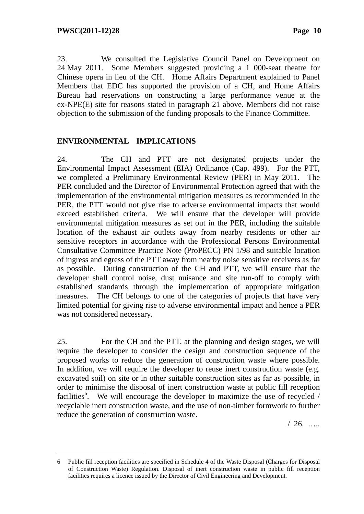$\overline{a}$ 

23. We consulted the Legislative Council Panel on Development on 24 May 2011. Some Members suggested providing a 1 000-seat theatre for Chinese opera in lieu of the CH. Home Affairs Department explained to Panel Members that EDC has supported the provision of a CH, and Home Affairs Bureau had reservations on constructing a large performance venue at the ex-NPE(E) site for reasons stated in paragraph 21 above. Members did not raise objection to the submission of the funding proposals to the Finance Committee.

### **ENVIRONMENTAL IMPLICATIONS**

24. The CH and PTT are not designated projects under the Environmental Impact Assessment (EIA) Ordinance (Cap. 499). For the PTT, we completed a Preliminary Environmental Review (PER) in May 2011. The PER concluded and the Director of Environmental Protection agreed that with the implementation of the environmental mitigation measures as recommended in the PER, the PTT would not give rise to adverse environmental impacts that would exceed established criteria. We will ensure that the developer will provide environmental mitigation measures as set out in the PER, including the suitable location of the exhaust air outlets away from nearby residents or other air sensitive receptors in accordance with the Professional Persons Environmental Consultative Committee Practice Note (ProPECC) PN 1/98 and suitable location of ingress and egress of the PTT away from nearby noise sensitive receivers as far as possible. During construction of the CH and PTT, we will ensure that the developer shall control noise, dust nuisance and site run-off to comply with established standards through the implementation of appropriate mitigation measures. The CH belongs to one of the categories of projects that have very limited potential for giving rise to adverse environmental impact and hence a PER was not considered necessary.

25. For the CH and the PTT, at the planning and design stages, we will require the developer to consider the design and construction sequence of the proposed works to reduce the generation of construction waste where possible. In addition, we will require the developer to reuse inert construction waste (e.g. excavated soil) on site or in other suitable construction sites as far as possible, in order to minimise the disposal of inert construction waste at public fill reception facilities<sup>6</sup>. We will encourage the developer to maximize the use of recycled / recyclable inert construction waste, and the use of non-timber formwork to further reduce the generation of construction waste.

/ 26. …..

<sup>6</sup> Public fill reception facilities are specified in Schedule 4 of the Waste Disposal (Charges for Disposal of Construction Waste) Regulation. Disposal of inert construction waste in public fill reception facilities requires a licence issued by the Director of Civil Engineering and Development.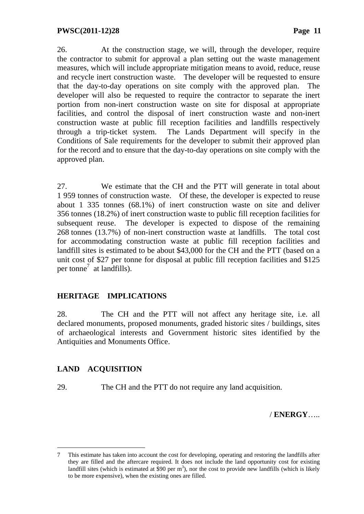26. At the construction stage, we will, through the developer, require the contractor to submit for approval a plan setting out the waste management measures, which will include appropriate mitigation means to avoid, reduce, reuse and recycle inert construction waste. The developer will be requested to ensure that the day-to-day operations on site comply with the approved plan. The developer will also be requested to require the contractor to separate the inert portion from non-inert construction waste on site for disposal at appropriate facilities, and control the disposal of inert construction waste and non-inert construction waste at public fill reception facilities and landfills respectively through a trip-ticket system. The Lands Department will specify in the Conditions of Sale requirements for the developer to submit their approved plan for the record and to ensure that the day-to-day operations on site comply with the approved plan.

27. We estimate that the CH and the PTT will generate in total about 1 959 tonnes of construction waste. Of these, the developer is expected to reuse about 1 335 tonnes (68.1%) of inert construction waste on site and deliver 356 tonnes (18.2%) of inert construction waste to public fill reception facilities for subsequent reuse. The developer is expected to dispose of the remaining 268 tonnes (13.7%) of non-inert construction waste at landfills. The total cost for accommodating construction waste at public fill reception facilities and landfill sites is estimated to be about \$43,000 for the CH and the PTT (based on a unit cost of \$27 per tonne for disposal at public fill reception facilities and \$125 per tonne<sup>7</sup> at landfills).

# **HERITAGE IMPLICATIONS**

28. The CH and the PTT will not affect any heritage site, i.e. all declared monuments, proposed monuments, graded historic sites / buildings, sites of archaeological interests and Government historic sites identified by the Antiquities and Monuments Office.

### **LAND ACQUISITION**

 $\overline{a}$ 

29. The CH and the PTT do not require any land acquisition.

/ **ENERGY**…..

<sup>7</sup> This estimate has taken into account the cost for developing, operating and restoring the landfills after they are filled and the aftercare required. It does not include the land opportunity cost for existing landfill sites (which is estimated at \$90 per  $m^3$ ), nor the cost to provide new landfills (which is likely to be more expensive), when the existing ones are filled.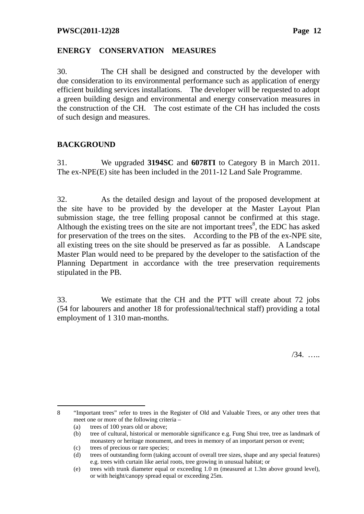#### **ENERGY CONSERVATION MEASURES**

30. The CH shall be designed and constructed by the developer with due consideration to its environmental performance such as application of energy efficient building services installations. The developer will be requested to adopt a green building design and environmental and energy conservation measures in the construction of the CH. The cost estimate of the CH has included the costs of such design and measures.

# **BACKGROUND**

31. We upgraded **3194SC** and **6078TI** to Category B in March 2011. The ex-NPE(E) site has been included in the 2011-12 Land Sale Programme.

32. As the detailed design and layout of the proposed development at the site have to be provided by the developer at the Master Layout Plan submission stage, the tree felling proposal cannot be confirmed at this stage. Although the existing trees on the site are not important trees<sup>8</sup>, the EDC has asked for preservation of the trees on the sites. According to the PB of the ex-NPE site, all existing trees on the site should be preserved as far as possible. A Landscape Master Plan would need to be prepared by the developer to the satisfaction of the Planning Department in accordance with the tree preservation requirements stipulated in the PB.

33. We estimate that the CH and the PTT will create about 72 jobs (54 for labourers and another 18 for professional/technical staff) providing a total employment of 1 310 man-months.

/34. …..

 $\overline{a}$ 8 "Important trees" refer to trees in the Register of Old and Valuable Trees, or any other trees that meet one or more of the following criteria –

<sup>(</sup>a) trees of 100 years old or above;

<sup>(</sup>b) tree of cultural, historical or memorable significance e.g. Fung Shui tree, tree as landmark of monastery or heritage monument, and trees in memory of an important person or event;

<sup>(</sup>c) trees of precious or rare species;

<sup>(</sup>d) trees of outstanding form (taking account of overall tree sizes, shape and any special features) e.g. trees with curtain like aerial roots, tree growing in unusual habitat; or

<sup>(</sup>e) trees with trunk diameter equal or exceeding 1.0 m (measured at 1.3m above ground level), or with height/canopy spread equal or exceeding 25m.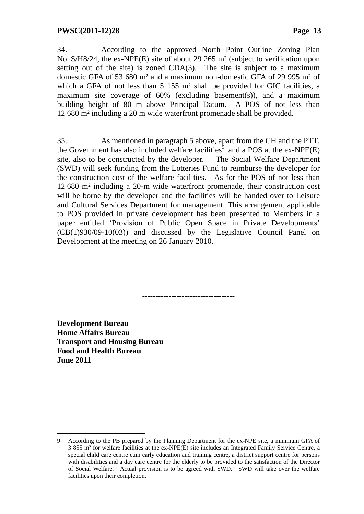34. According to the approved North Point Outline Zoning Plan No. S/H8/24, the ex-NPE(E) site of about 29 265 m² (subject to verification upon setting out of the site) is zoned CDA(3). The site is subject to a maximum domestic GFA of 53 680 m² and a maximum non-domestic GFA of 29 995 m² of which a GFA of not less than 5 155 m<sup>2</sup> shall be provided for GIC facilities, a maximum site coverage of  $60\%$  (excluding basement(s)), and a maximum building height of 80 m above Principal Datum. A POS of not less than 12 680 m² including a 20 m wide waterfront promenade shall be provided.

35. As mentioned in paragraph 5 above, apart from the CH and the PTT, the Government has also included welfare facilities<sup> $\hat{9}$ </sup> and a POS at the ex-NPE(E) site, also to be constructed by the developer. The Social Welfare Department (SWD) will seek funding from the Lotteries Fund to reimburse the developer for the construction cost of the welfare facilities. As for the POS of not less than 12 680 m² including a 20-m wide waterfront promenade, their construction cost will be borne by the developer and the facilities will be handed over to Leisure and Cultural Services Department for management. This arrangement applicable to POS provided in private development has been presented to Members in a paper entitled 'Provision of Public Open Space in Private Developments' (CB(1)930/09-10(03)) and discussed by the Legislative Council Panel on Development at the meeting on 26 January 2010.

**-----------------------------------** 

**Development Bureau Home Affairs Bureau Transport and Housing Bureau Food and Health Bureau June 2011** 

 $\overline{a}$ 

<sup>9</sup> According to the PB prepared by the Planning Department for the ex-NPE site, a minimum GFA of 3 855 m² for welfare facilities at the ex-NPE(E) site includes an Integrated Family Service Centre, a special child care centre cum early education and training centre, a district support centre for persons with disabilities and a day care centre for the elderly to be provided to the satisfaction of the Director of Social Welfare. Actual provision is to be agreed with SWD. SWD will take over the welfare facilities upon their completion.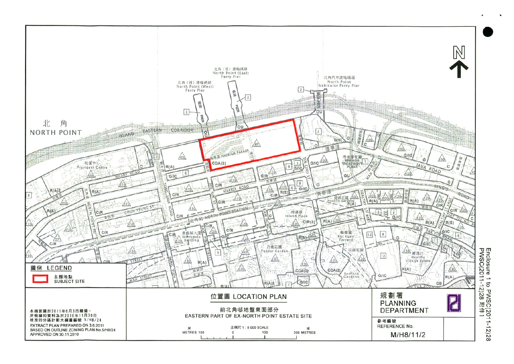

Enclosure 1 to PWSC(201<br>PWSC(2011-12)28 附件 1  $11 - 12$ ) 28